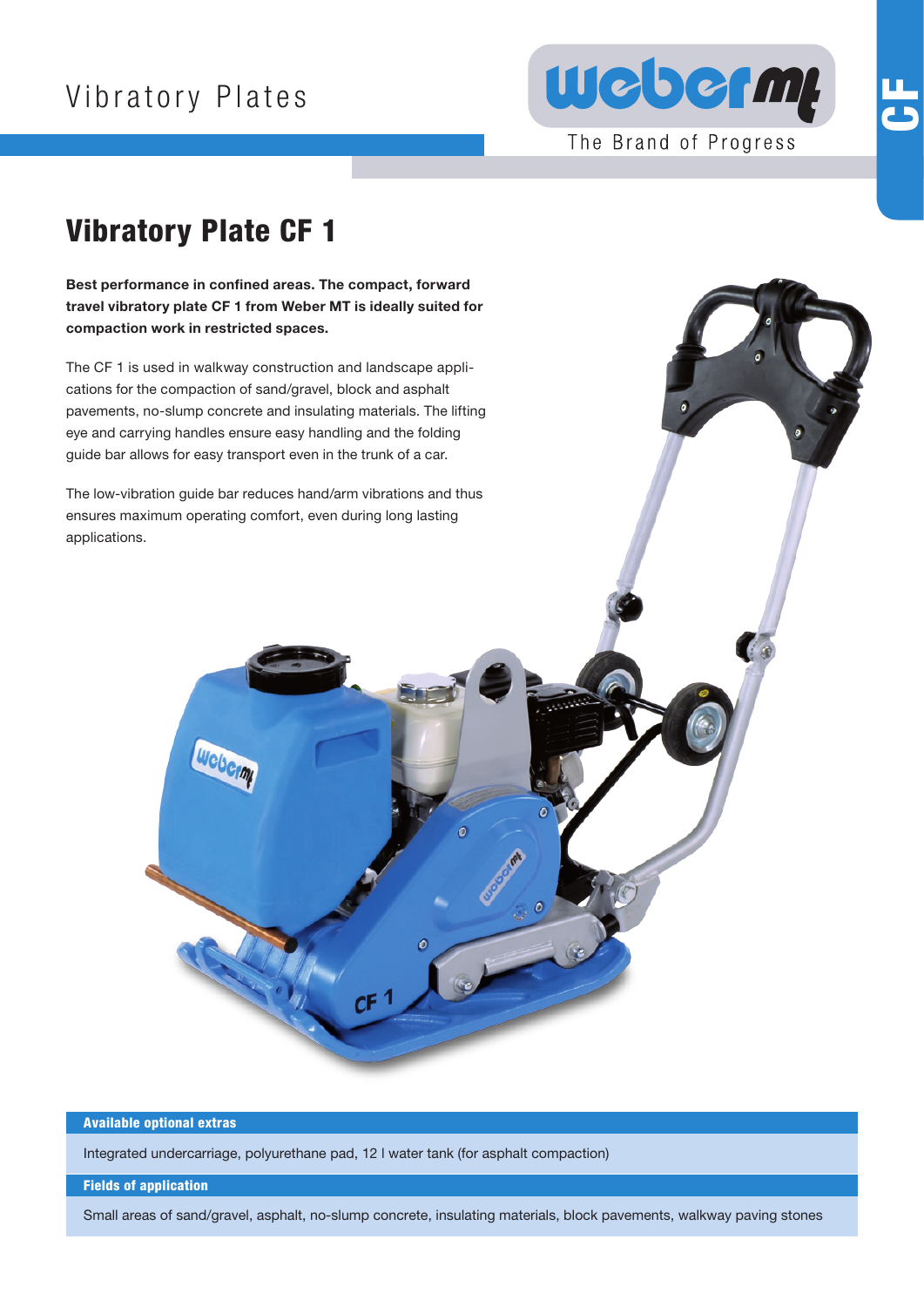# Vibratory Plates



The Brand of Progress

# $\overline{\mathbf{b}}$

## Vibratory Plate CF 1

Best performance in confined areas. The compact, forward travel vibratory plate CF 1 from Weber MT is ideally suited for compaction work in restricted spaces.

The CF 1 is used in walkway construction and landscape applications for the compaction of sand/gravel, block and asphalt pavements, no-slump concrete and insulating materials. The lifting eye and carrying handles ensure easy handling and the folding guide bar allows for easy transport even in the trunk of a car.

The low-vibration guide bar reduces hand/arm vibrations and thus ensures maximum operating comfort, even during long lasting applications.

Weberm



Integrated undercarriage, polyurethane pad, 12 l water tank (for asphalt compaction)

 $CF<sup>1</sup>$ 

#### Fields of application

Small areas of sand/gravel, asphalt, no-slump concrete, insulating materials, block pavements, walkway paving stones

Ó